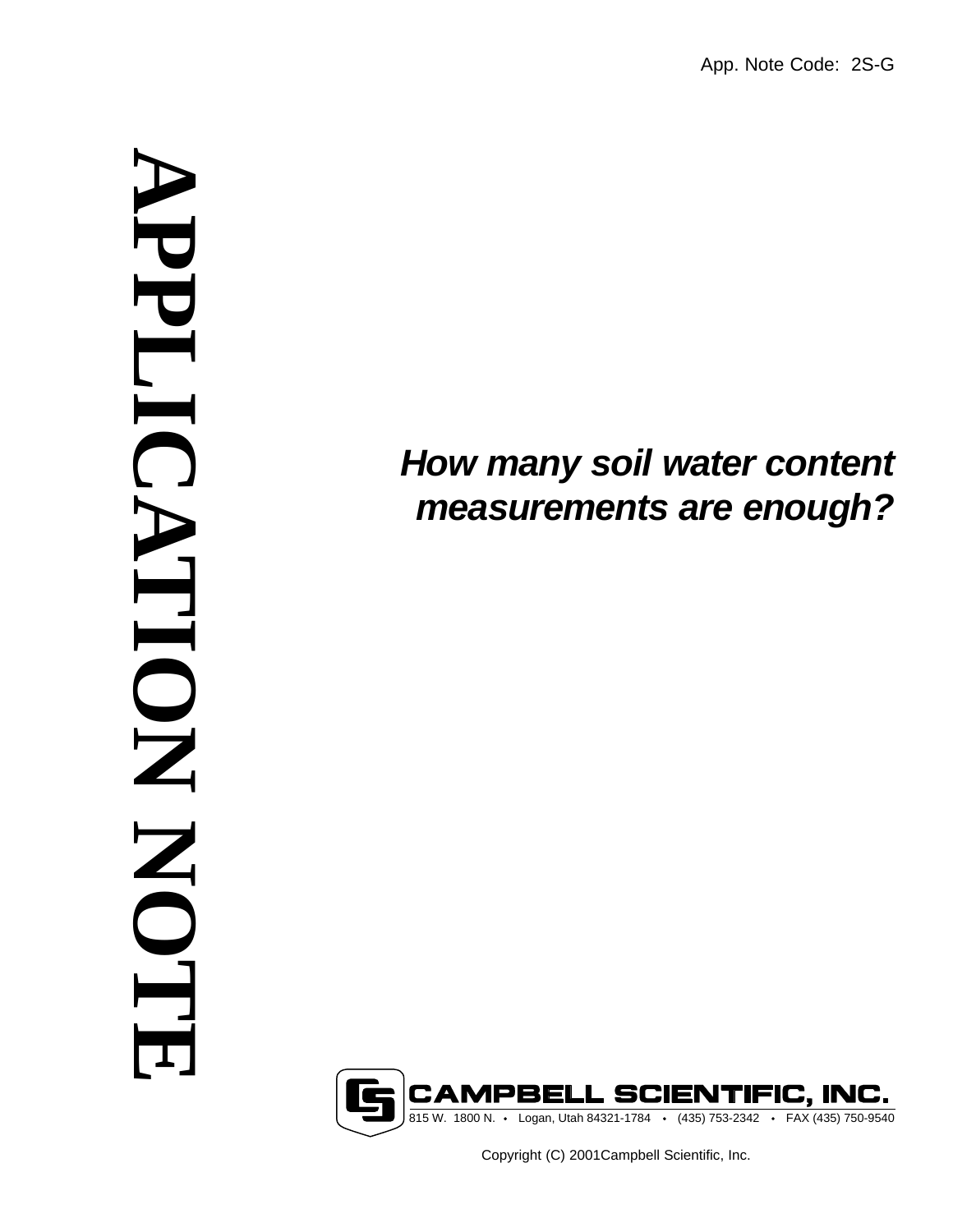# *How many soil water content measurements are enough?*



Copyright (C) 2001Campbell Scientific, Inc.

# **APPLICATION NOTE** NPPLIC NOIL KO NTR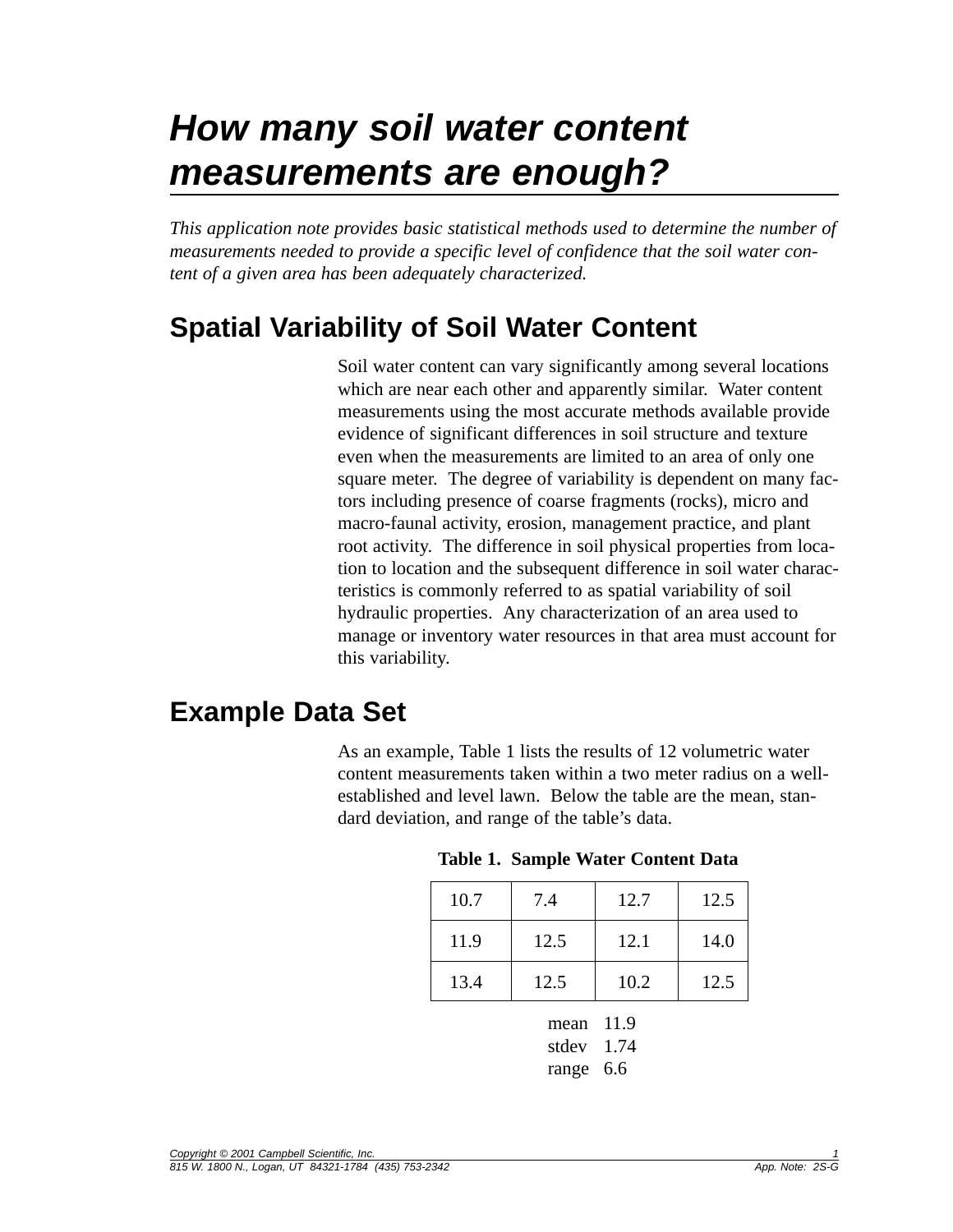## *How many soil water content measurements are enough?*

*This application note provides basic statistical methods used to determine the number of measurements needed to provide a specific level of confidence that the soil water content of a given area has been adequately characterized.*

## **Spatial Variability of Soil Water Content**

Soil water content can vary significantly among several locations which are near each other and apparently similar. Water content measurements using the most accurate methods available provide evidence of significant differences in soil structure and texture even when the measurements are limited to an area of only one square meter. The degree of variability is dependent on many factors including presence of coarse fragments (rocks), micro and macro-faunal activity, erosion, management practice, and plant root activity. The difference in soil physical properties from location to location and the subsequent difference in soil water characteristics is commonly referred to as spatial variability of soil hydraulic properties. Any characterization of an area used to manage or inventory water resources in that area must account for this variability.

#### **Example Data Set**

As an example, Table 1 lists the results of 12 volumetric water content measurements taken within a two meter radius on a wellestablished and level lawn. Below the table are the mean, standard deviation, and range of the table's data.

|  | Table 1. Sample Water Content Data |  |  |  |
|--|------------------------------------|--|--|--|
|--|------------------------------------|--|--|--|

| 10.7         | 7.4  | 12.7 | 12.5 |  |  |
|--------------|------|------|------|--|--|
| 11.9         | 12.5 | 12.1 | 14.0 |  |  |
| 13.4         | 12.5 | 10.2 | 12.5 |  |  |
| 11.9<br>mean |      |      |      |  |  |

stdev 1.74 range 6.6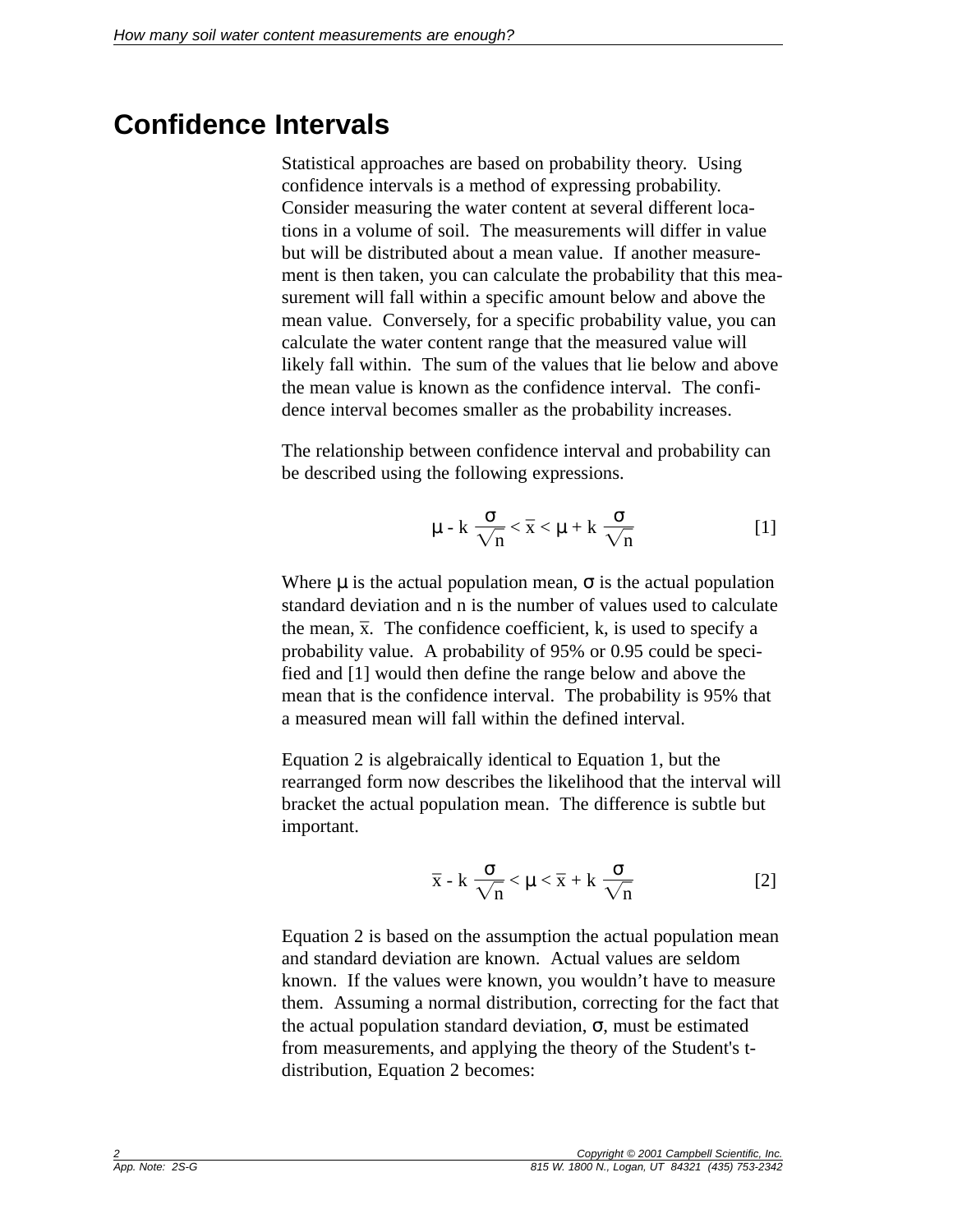### **Confidence Intervals**

Statistical approaches are based on probability theory. Using confidence intervals is a method of expressing probability. Consider measuring the water content at several different locations in a volume of soil. The measurements will differ in value but will be distributed about a mean value. If another measurement is then taken, you can calculate the probability that this measurement will fall within a specific amount below and above the mean value. Conversely, for a specific probability value, you can calculate the water content range that the measured value will likely fall within. The sum of the values that lie below and above the mean value is known as the confidence interval. The confidence interval becomes smaller as the probability increases.

The relationship between confidence interval and probability can be described using the following expressions.

$$
\mu - k \frac{\sigma}{\sqrt{n}} < \overline{x} < \mu + k \frac{\sigma}{\sqrt{n}}
$$
 [1]

Where  $\mu$  is the actual population mean,  $\sigma$  is the actual population standard deviation and n is the number of values used to calculate the mean,  $\bar{x}$ . The confidence coefficient, k, is used to specify a probability value. A probability of 95% or 0.95 could be specified and [1] would then define the range below and above the mean that is the confidence interval. The probability is 95% that a measured mean will fall within the defined interval.

Equation 2 is algebraically identical to Equation 1, but the rearranged form now describes the likelihood that the interval will bracket the actual population mean. The difference is subtle but important.

$$
\overline{x} - k \frac{\sigma}{\sqrt{n}} < \mu < \overline{x} + k \frac{\sigma}{\sqrt{n}} \tag{2}
$$

Equation 2 is based on the assumption the actual population mean and standard deviation are known. Actual values are seldom known. If the values were known, you wouldn't have to measure them. Assuming a normal distribution, correcting for the fact that the actual population standard deviation,  $\sigma$ , must be estimated from measurements, and applying the theory of the Student's tdistribution, Equation 2 becomes: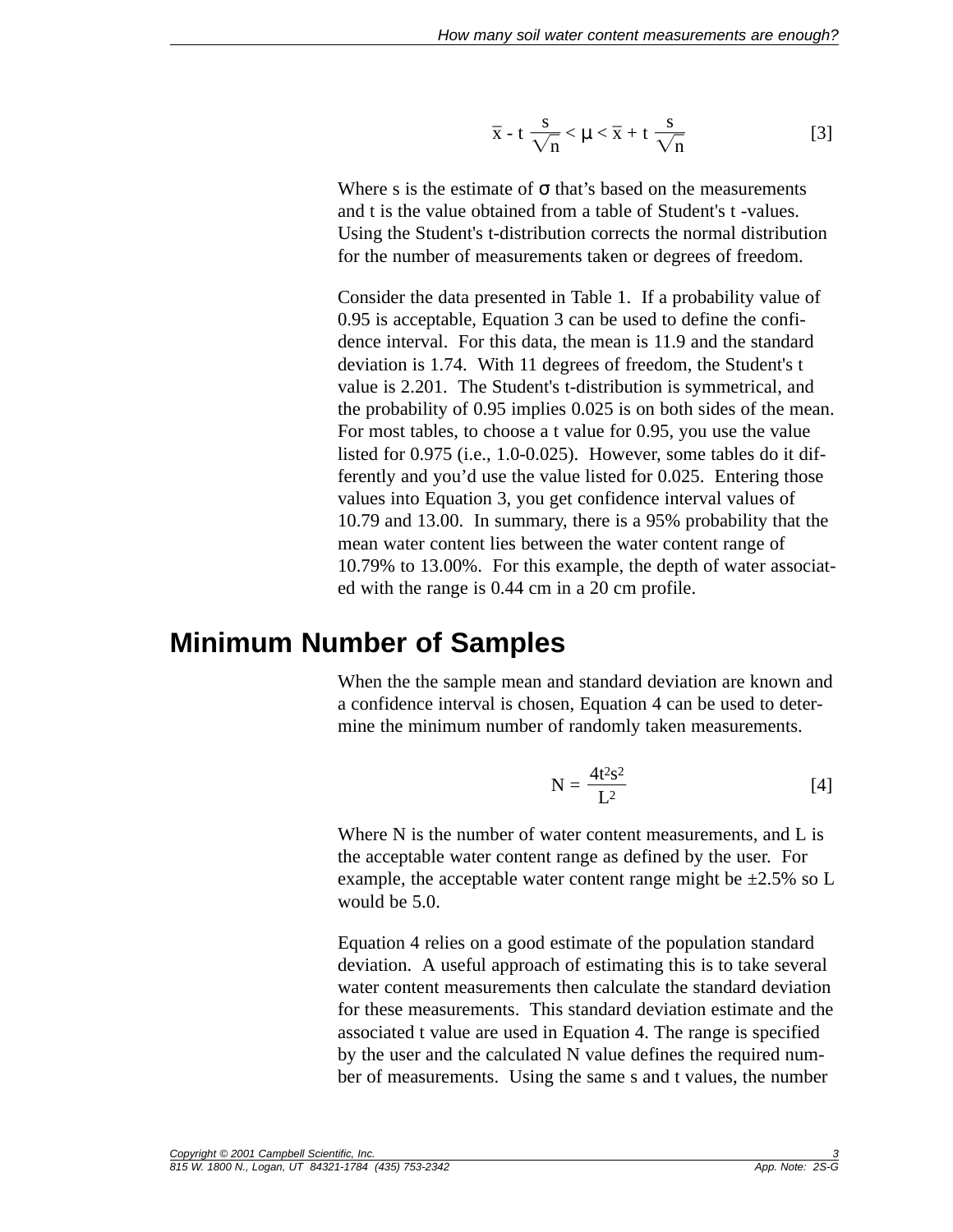$$
\overline{x} - t \frac{s}{\sqrt{n}} < \mu < \overline{x} + t \frac{s}{\sqrt{n}}
$$
 [3]

Where s is the estimate of  $\sigma$  that's based on the measurements and t is the value obtained from a table of Student's t -values. Using the Student's t-distribution corrects the normal distribution for the number of measurements taken or degrees of freedom.

Consider the data presented in Table 1. If a probability value of 0.95 is acceptable, Equation 3 can be used to define the confidence interval. For this data, the mean is 11.9 and the standard deviation is 1.74. With 11 degrees of freedom, the Student's t value is 2.201. The Student's t-distribution is symmetrical, and the probability of 0.95 implies 0.025 is on both sides of the mean. For most tables, to choose a t value for 0.95, you use the value listed for 0.975 (i.e., 1.0-0.025). However, some tables do it differently and you'd use the value listed for 0.025. Entering those values into Equation 3, you get confidence interval values of 10.79 and 13.00. In summary, there is a 95% probability that the mean water content lies between the water content range of 10.79% to 13.00%. For this example, the depth of water associated with the range is 0.44 cm in a 20 cm profile.

#### **Minimum Number of Samples**

When the the sample mean and standard deviation are known and a confidence interval is chosen, Equation 4 can be used to determine the minimum number of randomly taken measurements.

$$
N = \frac{4t^2s^2}{L^2} \tag{4}
$$

Where N is the number of water content measurements, and L is the acceptable water content range as defined by the user. For example, the acceptable water content range might be  $\pm 2.5\%$  so L would be 5.0.

Equation 4 relies on a good estimate of the population standard deviation. A useful approach of estimating this is to take several water content measurements then calculate the standard deviation for these measurements. This standard deviation estimate and the associated t value are used in Equation 4. The range is specified by the user and the calculated N value defines the required number of measurements. Using the same s and t values, the number